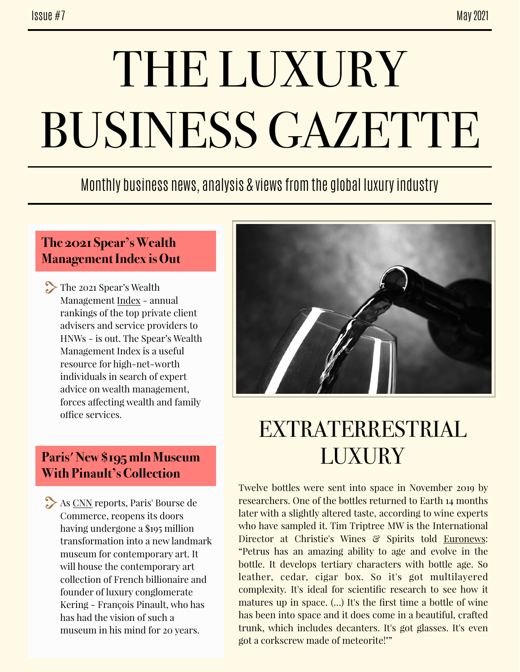# THE LUXURY BUSINESS GAZETTE

### Monthly business news, analysis & views from the global luxury industry

#### **The 2021 Spear's Wealth Management Index is Out**

The 2021 Spear's Wealth Management [Index](https://www.spearswms.com/spears-wealth-management-index/) - annual rankings of the top private client advisers and service providers to HNWs - is out. The Spear's Wealth Management Index is a useful resource for high-net-worth individuals in search of expert advice on wealth management, forces afecting wealth and family office services.

#### **Paris' New \$195 mln Museum With Pinault's Collection**

As [CNN](https://www-cnn-com.cdn.ampproject.org/c/s/www.cnn.com/style/amp/bourse-de-commerce-art-museum/index.html) reports, Paris' Bourse de Commerce, reopens its doors having undergone a \$195 million transformation into a new landmark museum for contemporary art. It will house the contemporary art collection of French billionaire and founder of luxury conglomerate Kering - François Pinault, who has has had the vision of such a museum in his mind for 20 years.



## EXTRATERRESTRIAL **LUXURY**

Twelve bottles were sent into space in November 2019 by researchers. One of the bottles returned to Earth 14 months later with a slightly altered taste, according to wine experts who have sampled it. Tim Triptree MW is the International Director at Christie's Wines & Spirits told [Euronews:](https://www.euronews.com/2021/05/05/space-aged-wine-could-sell-for-1-million-after-spending-14-months-on-international-space-s) "Petrus has an amazing ability to age and evolve in the bottle. It develops tertiary characters with bottle age. So leather, cedar, cigar box. So it's got multilayered complexity. It's ideal for scientific research to see how it matures up in space. (…) It's the first time a bottle of wine has been into space and it does come in a beautiful, crafted trunk, which includes decanters. It's got glasses. It's even got a corkscrew made of meteorite!""